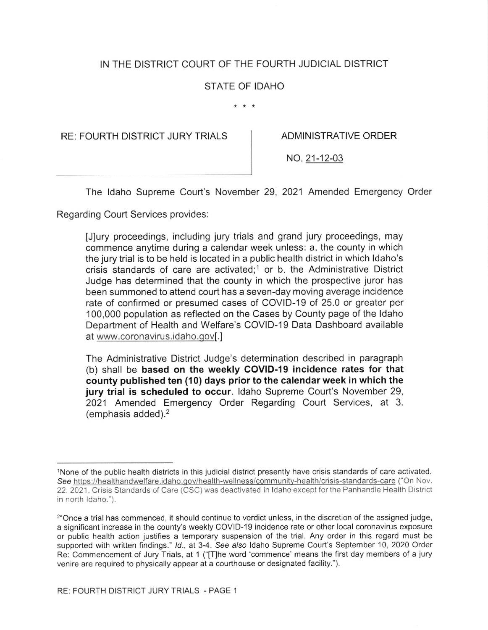# IN THE DISTRICT COURT OF THE FOURTH JUDICIAL DISTRICT

## STATE OF IDAHO

 $* * *$ 

RE: FOURTH DISTRICT JURY TRIALS ADMINISTRATIVE ORDER

NO.21-12-03

The ldaho Supreme Court's November 29, 2021 Amended Emergency Order

Regarding Court Services provides:

[J]ury proceedings, including jury trials and grand jury proceedings, may commence anytime during a calendar week unless: a. the county in which the jury trial is to be held is located in a public health district in which ldaho's crisis standards of care are activated;<sup>1</sup> or b. the Administrative District Judge has determined that the county in which the prospective juror has been summoned to attend court has a seven-day moving average incidence rate of confirmed or presumed cases of COVID-19 of 25.0 or greater per 100,000 population as reflected on the Cases by County page of the ldaho Department of Health and Welfare's COVID-19 Data Dashboard available at www.coronavirus.idaho.gov[.]

The Administrative District Judge's determination described in paragraph (b) shall be based on the weekly COVID-19 incidence rates for that county published ten (10) days prior to the calendar week in which the jury trial is scheduled to occur. Idaho Supreme Court's November 29, 2021 Amended Emergency Order Regarding Court Services, at 3. (emphasis added).2

See https://healthandwelfare.idaho.gov/health-wellness/community-health/crisis-standards-care ("On Nov. 22, 2021, Crisis Standards of Care (CSC) was deactivated in Idaho except for the Panhandle Health District in north ldaho."). lNone of the public health districts in this judicial district presently have crisis standards of care activated.

<sup>2&</sup>quot;Once a trial has commenced, it should continue to verdict unless, in the discretion of the assigned judge, a significant increase in the county's weekly COVID-19 incidence rate or other local coronavirus exposure or public health action justifies a temporary suspension of the trial. Any order in this regard must be supported with written findings." Id., at 3-4. See also Idaho Supreme Court's September 10, 2020 Order Re: Commencement of Jury Trials, at 1 ("[T]he word 'commence' means the first day members of a jury venire are required to physically appear at a courthouse or designated facility.").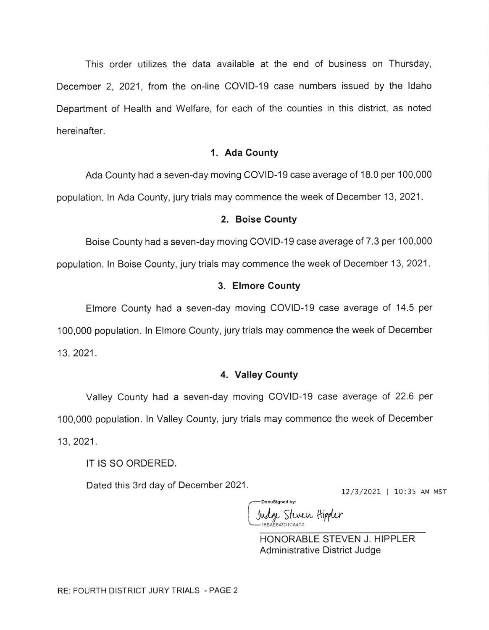This order utilizes the data available at the end of business on Thursday, December 2, 2021, from the on-line COVID-19 case numbers issued by the ldaho Department of Health and Welfare, for each of the counties in this district, as noted hereinafter.

#### 1. Ada County

Ada County had a seven-day moving COVID-19 case average of 18.0 per 100,000 population. In Ada County, jury trials may commence the week of December 13, 2021.

#### 2. Boise County

Boise County had a seven-day moving COVID-19 case average of 7.3 per 100,000 population. In Boise County, jury trials may commence the week of December 13, 2021.

#### 3. Elmore County

Elmore County had a seven-day moving COVID-19 case average of '14.5 per 100,000 population. ln Elmore County, jury trials may commence the week of December 13,2021 .

### 4. Valley County

Valley County had a seven-day moving COVID-19 case average of 22.6 per 100,000 population. ln Valley County, jury trials may commence the week of December 13, 2021.

IT IS SO ORDERED.

Dated this 3rd day of December 2021.  $\frac{12}{3/2021}$  | 10:35 AM MST

Indge Steven Hippler

-DocuSianed by:

HONORABLE STEVEN J. HIPPLER Administrative District Judge